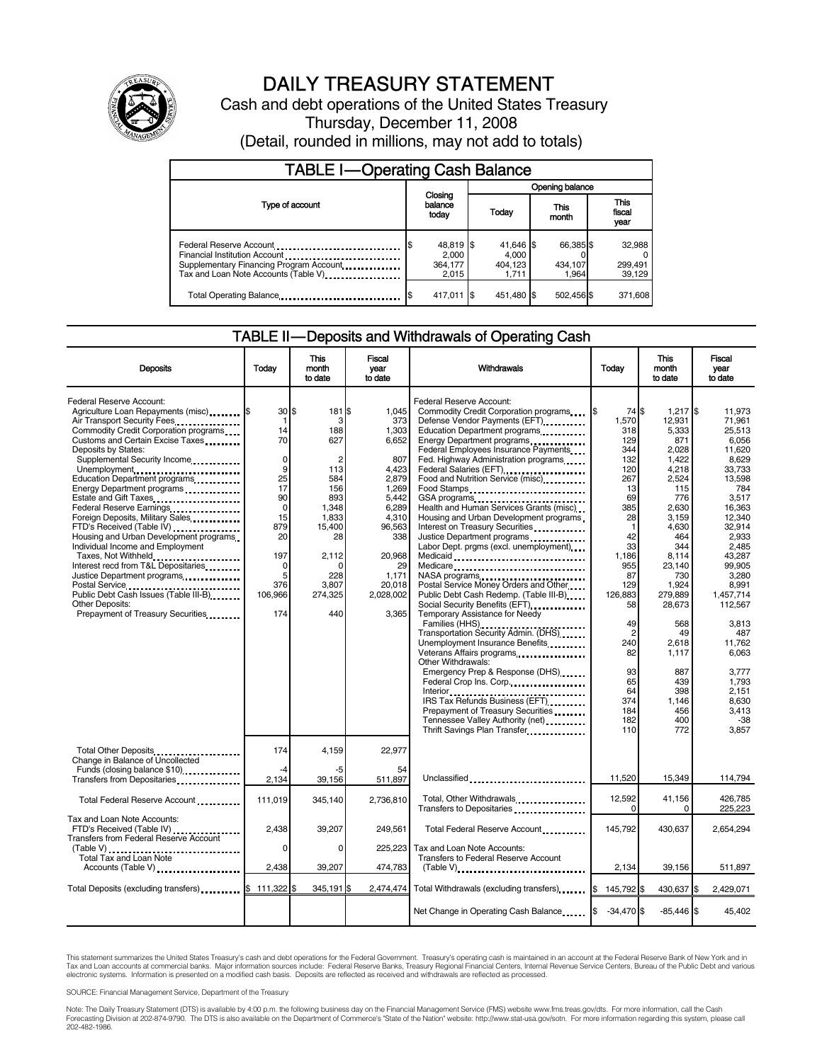

# DAILY TREASURY STATEMENT

Cash and debt operations of the United States Treasury Thursday, December 11, 2008 (Detail, rounded in millions, may not add to totals)

| <b>TABLE I-Operating Cash Balance</b>                                                                              |                                        |                                        |                               |                               |  |
|--------------------------------------------------------------------------------------------------------------------|----------------------------------------|----------------------------------------|-------------------------------|-------------------------------|--|
|                                                                                                                    |                                        | Opening balance                        |                               |                               |  |
| Type of account                                                                                                    | Closing<br>balance<br>today            | Today                                  | This<br>month                 | <b>This</b><br>fiscal<br>year |  |
| Financial Institution Account<br>Supplementary Financing Program Account.<br>Tax and Loan Note Accounts (Table V). | 48,819 \$<br>2.000<br>364,177<br>2.015 | 41,646 \$<br>4.000<br>404,123<br>1.711 | 66,385 \$<br>434,107<br>1.964 | 32,988<br>299,491<br>39,129   |  |
| Total Operating Balance                                                                                            | 417,011 \$                             | 451.480 \$                             | 502,456 \$                    | 371,608                       |  |

#### TABLE II — Deposits and Withdrawals of Operating Cash

| <b>Deposits</b>                                                                                                                                                                                                                                                                                                                                                                                                                                                                                                                                                                                                                                                                                                                  | Todav                                                                                                                                             | This<br>month<br>to date                                                                                                                                         | <b>Fiscal</b><br>year<br>to date                                                                                                                                      | <b>Withdrawals</b>                                                                                                                                                                                                                                                                                                                                                                                                                                                                                                                                                                                                                                                                                                                                                                                                                                                                                                                                                                                                                                                                                                                                                                                                                   | Today                                                                                                                                                                                                                                          | This<br>month<br>to date                                                                                                                                                                                                                                                | Fiscal<br>vear<br>to date                                                                                                                                                                                                                                                                                  |
|----------------------------------------------------------------------------------------------------------------------------------------------------------------------------------------------------------------------------------------------------------------------------------------------------------------------------------------------------------------------------------------------------------------------------------------------------------------------------------------------------------------------------------------------------------------------------------------------------------------------------------------------------------------------------------------------------------------------------------|---------------------------------------------------------------------------------------------------------------------------------------------------|------------------------------------------------------------------------------------------------------------------------------------------------------------------|-----------------------------------------------------------------------------------------------------------------------------------------------------------------------|--------------------------------------------------------------------------------------------------------------------------------------------------------------------------------------------------------------------------------------------------------------------------------------------------------------------------------------------------------------------------------------------------------------------------------------------------------------------------------------------------------------------------------------------------------------------------------------------------------------------------------------------------------------------------------------------------------------------------------------------------------------------------------------------------------------------------------------------------------------------------------------------------------------------------------------------------------------------------------------------------------------------------------------------------------------------------------------------------------------------------------------------------------------------------------------------------------------------------------------|------------------------------------------------------------------------------------------------------------------------------------------------------------------------------------------------------------------------------------------------|-------------------------------------------------------------------------------------------------------------------------------------------------------------------------------------------------------------------------------------------------------------------------|------------------------------------------------------------------------------------------------------------------------------------------------------------------------------------------------------------------------------------------------------------------------------------------------------------|
| Federal Reserve Account:<br>Agriculture Loan Repayments (misc) <b>\$</b><br>Air Transport Security Fees<br>Commodity Credit Corporation programs<br>Customs and Certain Excise Taxes<br>Deposits by States:<br>Supplemental Security Income<br>Unemployment<br>Education Department programs<br>Energy Department programs<br>Estate and Gift Taxes<br>Federal Reserve Earnings<br>Foreign Deposits, Military Sales<br>FTD's Received (Table IV)<br>Housing and Urban Development programs<br>Individual Income and Employment<br>Taxes, Not Withheld<br>Interest recd from T&L Depositaries<br>Justice Department programs<br><br>Public Debt Cash Issues (Table III-B)<br>Other Deposits:<br>Prepayment of Treasury Securities | 30S<br>-1<br>14<br>70<br>$\mathbf 0$<br>9<br>25<br>17<br>90<br>$\mathbf 0$<br>15<br>879<br>20<br>197<br>$\mathbf 0$<br>5<br>376<br>106,966<br>174 | 181 \$<br>3<br>188<br>627<br>$\overline{c}$<br>113<br>584<br>156<br>893<br>1,348<br>1,833<br>15,400<br>28<br>2,112<br>$\Omega$<br>228<br>3.807<br>274,325<br>440 | 1.045<br>373<br>1,303<br>6,652<br>807<br>4.423<br>2,879<br>1,269<br>5,442<br>6.289<br>4,310<br>96,563<br>338<br>20,968<br>29<br>1,171<br>20.018<br>2,028,002<br>3.365 | Federal Reserve Account:<br>Commodity Credit Corporation programs<br>Defense Vendor Payments (EFT)<br>Education Department programs<br>Energy Department programs<br>Federal Employees Insurance Payments<br>Fed. Highway Administration programs<br>Federal Salaries (EFT)<br>Federal Salaries (EFT)<br>Food and Nutrition Service (misc)<br>Food Stamps<br>GSA programs<br>Health and Human Services Grants (misc)<br>Housing and Urban Development programs<br>Interest on Treasury Securities<br>Justice Department programs<br>Labor Dept. prgms (excl. unemployment)<br>Medicaid<br>Medicare<br>NASA programs<br>Postal Service Money Orders and Other<br>Public Debt Cash Redemp. (Table III-B)<br>Social Security Benefits (EFT)<br>Temporary Assistance for Needy<br>Families (HHS)<br>Transportation Security Admin. (DHS)<br>Unemployment Insurance Benefits<br>Other Withdrawals:<br>Emergency Prep & Response (DHS)<br>Federal Crop Ins. Corp.<br>Interior <sub>propriet</sub> here are respected as a series of the series of the series of the series of the series of the<br>IRS Tax Refunds Business (EFT)<br>Prepayment of Treasury Securities<br>Tennessee Valley Authority (net)<br>Thrift Savings Plan Transfer | 74 \$<br>1,570<br>318<br>129<br>344<br>132<br>120<br>267<br>13<br>69<br>385<br>28<br>$\mathbf{1}$<br>42<br>33<br>1,186<br>955<br>87<br>129<br>126,883<br>58<br>49<br>$\overline{c}$<br>240<br>82<br>93<br>65<br>64<br>374<br>184<br>182<br>110 | 1,217 \$<br>12,931<br>5,333<br>871<br>2,028<br>1,422<br>4.218<br>2,524<br>115<br>776<br>2,630<br>3,159<br>4,630<br>464<br>344<br>8,114<br>23,140<br>730<br>1.924<br>279,889<br>28,673<br>568<br>49<br>2,618<br>1,117<br>887<br>439<br>398<br>1.146<br>456<br>400<br>772 | 11.973<br>71.961<br>25.513<br>6,056<br>11.620<br>8.629<br>33.733<br>13,598<br>784<br>3,517<br>16.363<br>12,340<br>32,914<br>2,933<br>2.485<br>43,287<br>99,905<br>3.280<br>8.991<br>1,457,714<br>112,567<br>3.813<br>487<br>11,762<br>6.063<br>3,777<br>1.793<br>2.151<br>8.630<br>3,413<br>$-38$<br>3,857 |
| Total Other Deposits<br>Change in Balance of Uncollected<br>Funds (closing balance \$10)                                                                                                                                                                                                                                                                                                                                                                                                                                                                                                                                                                                                                                         | 174<br>-4<br>2,134                                                                                                                                | 4,159<br>-5<br>39,156                                                                                                                                            | 22,977<br>54<br>511,897                                                                                                                                               | Unclassified                                                                                                                                                                                                                                                                                                                                                                                                                                                                                                                                                                                                                                                                                                                                                                                                                                                                                                                                                                                                                                                                                                                                                                                                                         | 11.520                                                                                                                                                                                                                                         | 15,349                                                                                                                                                                                                                                                                  | 114,794                                                                                                                                                                                                                                                                                                    |
| Total Federal Reserve Account                                                                                                                                                                                                                                                                                                                                                                                                                                                                                                                                                                                                                                                                                                    | 111,019                                                                                                                                           | 345,140                                                                                                                                                          | 2,736,810                                                                                                                                                             | Total, Other Withdrawals<br>Transfers to Depositaries                                                                                                                                                                                                                                                                                                                                                                                                                                                                                                                                                                                                                                                                                                                                                                                                                                                                                                                                                                                                                                                                                                                                                                                | 12,592<br>$\Omega$                                                                                                                                                                                                                             | 41,156<br>0                                                                                                                                                                                                                                                             | 426.785<br>225,223                                                                                                                                                                                                                                                                                         |
| Tax and Loan Note Accounts:<br>FTD's Received (Table IV)<br>Transfers from Federal Reserve Account<br>(Table V)                                                                                                                                                                                                                                                                                                                                                                                                                                                                                                                                                                                                                  | 2,438<br>$\Omega$                                                                                                                                 | 39,207<br>$\Omega$                                                                                                                                               | 249,561<br>225,223                                                                                                                                                    | Total Federal Reserve Account<br>Tax and Loan Note Accounts:                                                                                                                                                                                                                                                                                                                                                                                                                                                                                                                                                                                                                                                                                                                                                                                                                                                                                                                                                                                                                                                                                                                                                                         | 145,792                                                                                                                                                                                                                                        | 430,637                                                                                                                                                                                                                                                                 | 2,654,294                                                                                                                                                                                                                                                                                                  |
| Total Tax and Loan Note<br>Accounts (Table V)                                                                                                                                                                                                                                                                                                                                                                                                                                                                                                                                                                                                                                                                                    | 2,438                                                                                                                                             | 39,207                                                                                                                                                           | 474,783                                                                                                                                                               | Transfers to Federal Reserve Account                                                                                                                                                                                                                                                                                                                                                                                                                                                                                                                                                                                                                                                                                                                                                                                                                                                                                                                                                                                                                                                                                                                                                                                                 | 2,134                                                                                                                                                                                                                                          | 39,156                                                                                                                                                                                                                                                                  | 511,897                                                                                                                                                                                                                                                                                                    |
| Total Deposits (excluding transfers) <b>S</b>                                                                                                                                                                                                                                                                                                                                                                                                                                                                                                                                                                                                                                                                                    | 111,322                                                                                                                                           | 345,191 \$                                                                                                                                                       |                                                                                                                                                                       | 2,474,474 Total Withdrawals (excluding transfers)                                                                                                                                                                                                                                                                                                                                                                                                                                                                                                                                                                                                                                                                                                                                                                                                                                                                                                                                                                                                                                                                                                                                                                                    | 145,792 \$<br>l\$                                                                                                                                                                                                                              | 430,637 \$                                                                                                                                                                                                                                                              | 2,429,071                                                                                                                                                                                                                                                                                                  |
|                                                                                                                                                                                                                                                                                                                                                                                                                                                                                                                                                                                                                                                                                                                                  |                                                                                                                                                   |                                                                                                                                                                  |                                                                                                                                                                       | Net Change in Operating Cash Balance                                                                                                                                                                                                                                                                                                                                                                                                                                                                                                                                                                                                                                                                                                                                                                                                                                                                                                                                                                                                                                                                                                                                                                                                 | $-34.470$ \$                                                                                                                                                                                                                                   | $-85.446$ \$                                                                                                                                                                                                                                                            | 45.402                                                                                                                                                                                                                                                                                                     |

This statement summarizes the United States Treasury's cash and debt operations for the Federal Government. Treasury's operating cash is maintained in an account at the Federal Reserve Bank of New York and in<br>Tax and Loan

SOURCE: Financial Management Service, Department of the Treasury

Note: The Daily Treasury Statement (DTS) is available by 4:00 p.m. the following business day on the Financial Management Service (FMS) website www.fms.treas.gov/dts. For more information, call the Cash<br>Forecasting Divisio eas.gov/dts. F<br>For more infor